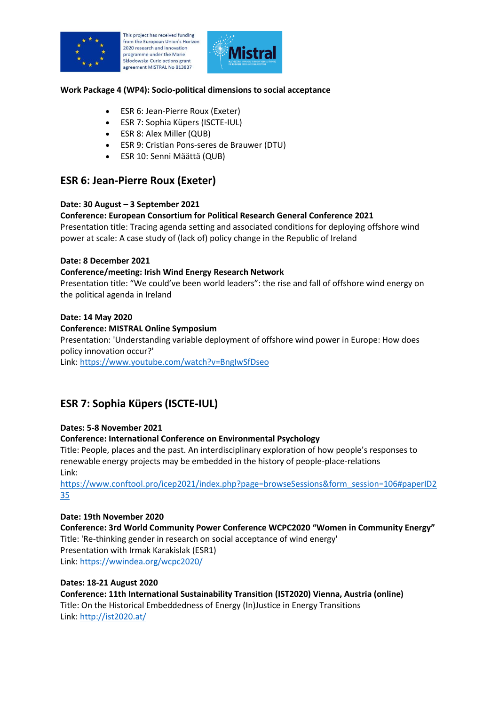

his project has received funding from the European Union's Horizon 2020 research and innovation programme under the Marie Skłodowska-Curie actions grant agreement MISTRAL No 813837



#### **Work Package 4 (WP4): Socio-political dimensions to social acceptance**

- ESR 6: Jean-Pierre Roux (Exeter)
- ESR 7: Sophia Küpers (ISCTE-IUL)
- ESR 8: Alex Miller (QUB)
- ESR 9: Cristian Pons-seres de Brauwer (DTU)
- ESR 10: Senni Määttä (QUB)

## **ESR 6: Jean-Pierre Roux (Exeter)**

#### **Date: 30 August – 3 September 2021**

#### **Conference: European Consortium for Political Research General Conference 2021**

Presentation title: Tracing agenda setting and associated conditions for deploying offshore wind power at scale: A case study of (lack of) policy change in the Republic of Ireland

#### **Date: 8 December 2021**

#### **Conference/meeting: Irish Wind Energy Research Network**

Presentation title: "We could've been world leaders": the rise and fall of offshore wind energy on the political agenda in Ireland

#### **Date: 14 May 2020**

#### **Conference: MISTRAL Online Symposium**

Presentation: 'Understanding variable deployment of offshore wind power in Europe: How does policy innovation occur?'

Link:<https://www.youtube.com/watch?v=BngIwSfDseo>

# **ESR 7: Sophia Küpers (ISCTE-IUL)**

#### **Dates: 5-8 November 2021**

#### **Conference: International Conference on Environmental Psychology**

Title: People, places and the past. An interdisciplinary exploration of how people's responses to renewable energy projects may be embedded in the history of people-place-relations Link:

[https://www.conftool.pro/icep2021/index.php?page=browseSessions&form\\_session=106#paperID2](https://www.conftool.pro/icep2021/index.php?page=browseSessions&form_session=106#paperID235) [35](https://www.conftool.pro/icep2021/index.php?page=browseSessions&form_session=106#paperID235)

#### **Date: 19th November 2020**

**Conference: 3rd World Community Power Conference WCPC2020 "Women in Community Energy"** Title: 'Re-thinking gender in research on social acceptance of wind energy' Presentation with Irmak Karakislak (ESR1) Link:<https://wwindea.org/wcpc2020/>

#### **Dates: 18-21 August 2020**

**Conference: 11th International Sustainability Transition (IST2020) Vienna, Austria (online)** Title: On the Historical Embeddedness of Energy (In)Justice in Energy Transitions Link:<http://ist2020.at/>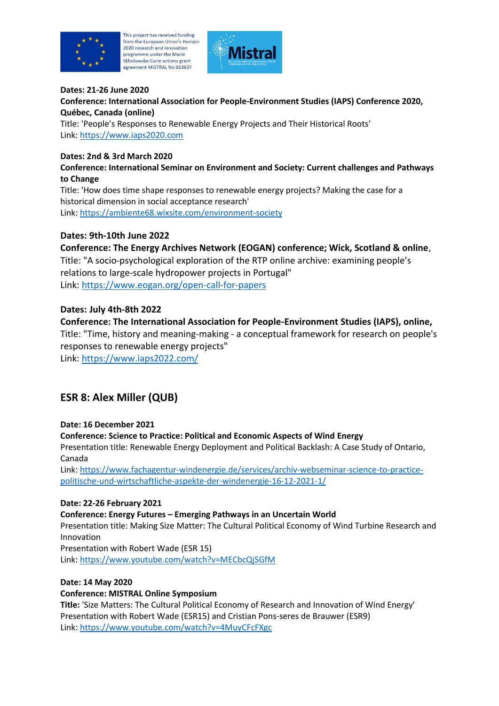

his project has received funding from the European Union's Horizon 2020 research and innovation programme under the Marie Skłodowska-Curie actions grant agreement MISTRAL No 813837



#### **Dates: 21-26 June 2020**

**Conference: International Association for People-Environment Studies (IAPS) Conference 2020, Québec, Canada (online)**

Title: 'People's Responses to Renewable Energy Projects and Their Historical Roots' Link: [https://www.iaps2020.com](https://www.iaps2020.com/)

#### **Dates: 2nd & 3rd March 2020**

**Conference: International Seminar on Environment and Society: Current challenges and Pathways to Change**

Title: 'How does time shape responses to renewable energy projects? Making the case for a historical dimension in social acceptance research' Link:<https://ambiente68.wixsite.com/environment-society>

## **Dates: 9th-10th June 2022**

**Conference: The Energy Archives Network (EOGAN) conference; Wick, Scotland & online**, Title: "A socio-psychological exploration of the RTP online archive: examining people's relations to large-scale hydropower projects in Portugal" Link:<https://www.eogan.org/open-call-for-papers>

## **Dates: July 4th-8th 2022**

## **Conference: The International Association for People-Environment Studies (IAPS), online,**

Title: "Time, history and meaning-making - a conceptual framework for research on people's responses to renewable energy projects"

Link:<https://www.iaps2022.com/>

# **ESR 8: Alex Miller (QUB)**

#### **Date: 16 December 2021**

**Conference: Science to Practice: Political and Economic Aspects of Wind Energy**

Presentation title: Renewable Energy Deployment and Political Backlash: A Case Study of Ontario, Canada

Link: [https://www.fachagentur-windenergie.de/services/archiv-webseminar-science-to-practice](https://www.fachagentur-windenergie.de/services/archiv-webseminar-science-to-practice-politische-und-wirtschaftliche-aspekte-der-windenergie-16-12-2021-1/)[politische-und-wirtschaftliche-aspekte-der-windenergie-16-12-2021-1/](https://www.fachagentur-windenergie.de/services/archiv-webseminar-science-to-practice-politische-und-wirtschaftliche-aspekte-der-windenergie-16-12-2021-1/)

#### **Date: 22-26 February 2021**

**Conference: Energy Futures – Emerging Pathways in an Uncertain World**

Presentation title: Making Size Matter: The Cultural Political Economy of Wind Turbine Research and Innovation

Presentation with Robert Wade (ESR 15) Link:<https://www.youtube.com/watch?v=MECbcQjSGfM>

#### **Date: 14 May 2020**

#### **Conference: MISTRAL Online Symposium**

**Title:** 'Size Matters: The Cultural Political Economy of Research and Innovation of Wind Energy' Presentation with Robert Wade (ESR15) and Cristian Pons-seres de Brauwer (ESR9) Link:<https://www.youtube.com/watch?v=4MuyCFcFXgc>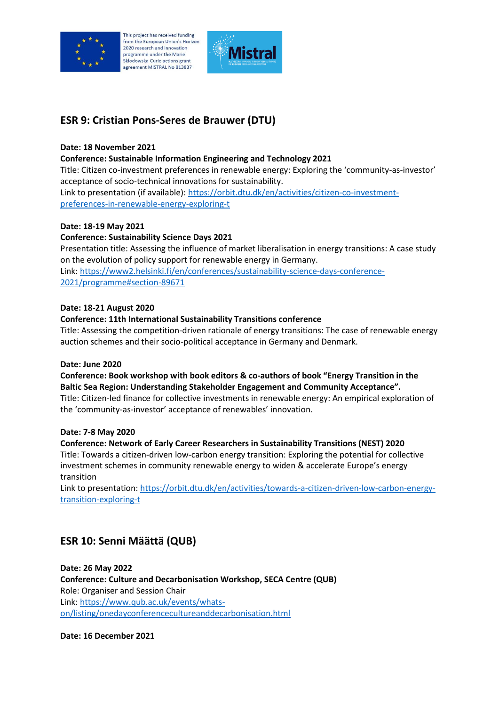

his project has received funding from the European Union's Horizon 2020 research and innovation programme under the Marie Skłodowska-Curie actions grant agreement MISTRAL No 813837



# **ESR 9: Cristian Pons-Seres de Brauwer (DTU)**

## **Date: 18 November 2021**

**Conference: Sustainable Information Engineering and Technology 2021**

Title: Citizen co-investment preferences in renewable energy: Exploring the 'community-as-investor' acceptance of socio-technical innovations for sustainability. Link to presentation (if available): [https://orbit.dtu.dk/en/activities/citizen-co-investment](https://orbit.dtu.dk/en/activities/citizen-co-investment-preferences-in-renewable-energy-exploring-t)[preferences-in-renewable-energy-exploring-t](https://orbit.dtu.dk/en/activities/citizen-co-investment-preferences-in-renewable-energy-exploring-t)

## **Date: 18-19 May 2021**

## **Conference: Sustainability Science Days 2021**

Presentation title: Assessing the influence of market liberalisation in energy transitions: A case study on the evolution of policy support for renewable energy in Germany.

Link: [https://www2.helsinki.fi/en/conferences/sustainability-science-days-conference-](https://www2.helsinki.fi/en/conferences/sustainability-science-days-conference-2021/programme#section-89671)[2021/programme#section-89671](https://www2.helsinki.fi/en/conferences/sustainability-science-days-conference-2021/programme#section-89671)

#### **Date: 18-21 August 2020**

#### **Conference: 11th International Sustainability Transitions conference**

Title: Assessing the competition-driven rationale of energy transitions: The case of renewable energy auction schemes and their socio-political acceptance in Germany and Denmark.

#### **Date: June 2020**

## **Conference: Book workshop with book editors & co-authors of book "Energy Transition in the Baltic Sea Region: Understanding Stakeholder Engagement and Community Acceptance".**

Title: Citizen-led finance for collective investments in renewable energy: An empirical exploration of the 'community-as-investor' acceptance of renewables' innovation.

#### **Date: 7-8 May 2020**

## **Conference: Network of Early Career Researchers in Sustainability Transitions (NEST) 2020**

Title: Towards a citizen-driven low-carbon energy transition: Exploring the potential for collective investment schemes in community renewable energy to widen & accelerate Europe's energy transition

Link to presentation: [https://orbit.dtu.dk/en/activities/towards-a-citizen-driven-low-carbon-energy](https://orbit.dtu.dk/en/activities/towards-a-citizen-driven-low-carbon-energy-transition-exploring-t)[transition-exploring-t](https://orbit.dtu.dk/en/activities/towards-a-citizen-driven-low-carbon-energy-transition-exploring-t)

# **ESR 10: Senni Määttä (QUB)**

**Date: 26 May 2022 Conference: Culture and Decarbonisation Workshop, SECA Centre (QUB)** Role: Organiser and Session Chair Link: [https://www.qub.ac.uk/events/whats](https://www.qub.ac.uk/events/whats-on/listing/onedayconferencecultureanddecarbonisation.html)[on/listing/onedayconferencecultureanddecarbonisation.html](https://www.qub.ac.uk/events/whats-on/listing/onedayconferencecultureanddecarbonisation.html)

**Date: 16 December 2021**